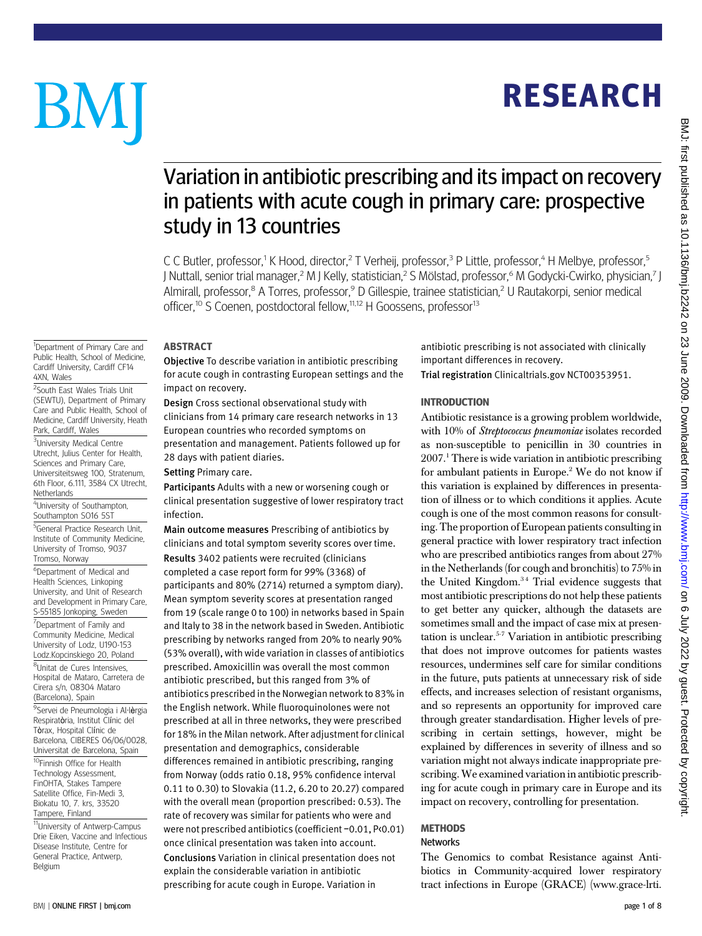# **RESEARCH** RESEARCH

# BM

<sup>1</sup>Department of Primary Care and

Cardiff University, Cardiff CF14

2 South East Wales Trials Unit (SEWTU), Department of Primary Care and Public Health, School of Medicine, Cardiff University, Heath

<sup>4</sup>University of Southampton, Southampton SO16 5ST 5 General Practice Research Unit, Institute of Community Medicine, University of Tromso, 9037 Tromso, Norway

6 Department of Medical and Health Sciences, Linkoping University, and Unit of Research and Development in Primary Care, S-55185 Jonkoping, Sweden <sup>7</sup>Department of Family and Community Medicine, Medical University of Lodz, U190-153 Lodz.Kopcinskiego 20, Poland <sup>8</sup>Unitat de Cures Intensives, Hospital de Mataro, Carretera de Cirera s/n, 08304 Mataro (Barcelona), Spain

<sup>9</sup>Servei de Pneumologia i Al·l**è**rgia Respiratòria, Institut Clínic del Tòrax, Hospital Clínic de Barcelona, CIBERES 06/06/0028, Universitat de Barcelona, Spain 10Finnish Office for Health Technology Assessment, FinOHTA, Stakes Tampere Satellite Office, Fin-Medi 3, Biokatu 10, 7. krs, 33520 Tampere, Finland

4XN, Wales

Netherlands

Park, Cardiff, Wales <sup>3</sup>University Medical Centre Utrecht, Julius Center for Health, Sciences and Primary Care, Universiteitsweg 100, Stratenum, 6th Floor, 6.111, 3584 CX Utrecht,

## Variation in antibiotic prescribing and its impact on recovery in patients with acute cough in primary care: prospective study in 13 countries

C C Butler, professor,<sup>1</sup> K Hood, director,<sup>2</sup> T Verheij, professor,<sup>3</sup> P Little, professor,<sup>4</sup> H Melbye, professor,<sup>5</sup> J Nuttall, senior trial manager,<sup>2</sup> M J Kelly, statistician,<sup>2</sup> S Mölstad, professor,<sup>6</sup> M Godycki-Cwirko, physician,<sup>7</sup> J Almirall, professor,<sup>8</sup> A Torres, professor,<sup>9</sup> D Gillespie, trainee statistician,<sup>2</sup> U Rautakorpi, senior medical officer,<sup>10</sup> S Coenen, postdoctoral fellow,<sup>11,12</sup> H Goossens, professor<sup>13</sup>

## Public Health, School of Medicine,

Objective To describe variation in antibiotic prescribing for acute cough in contrasting European settings and the impact on recovery.

Design Cross sectional observational study with clinicians from 14 primary care research networks in 13 European countries who recorded symptoms on presentation and management. Patients followed up for 28 days with patient diaries.

Setting Primary care.

Participants Adults with a new or worsening cough or clinical presentation suggestive of lower respiratory tract infection.

Main outcome measures Prescribing of antibiotics by clinicians and total symptom severity scores over time. Results 3402 patients were recruited (clinicians completed a case report form for 99% (3368) of participants and 80% (2714) returned a symptom diary). Mean symptom severity scores at presentation ranged from 19 (scale range 0 to 100) in networks based in Spain and Italy to 38 in the network based in Sweden. Antibiotic prescribing by networks ranged from 20% to nearly 90% (53% overall), with wide variation in classes of antibiotics prescribed. Amoxicillin was overall the most common antibiotic prescribed, but this ranged from 3% of antibiotics prescribed in the Norwegian network to 83% in the English network. While fluoroquinolones were not prescribed at all in three networks, they were prescribed for 18% in the Milan network. After adjustment for clinical presentation and demographics, considerable differences remained in antibiotic prescribing, ranging from Norway (odds ratio 0.18, 95% confidence interval 0.11 to 0.30) to Slovakia (11.2, 6.20 to 20.27) compared with the overall mean (proportion prescribed: 0.53). The rate of recovery was similar for patients who were and were not prescribed antibiotics (coefficient −0.01, P<0.01) once clinical presentation was taken into account. Conclusions Variation in clinical presentation does not explain the considerable variation in antibiotic prescribing for acute cough in Europe. Variation in

antibiotic prescribing is not associated with clinically important differences in recovery.

Trial registration Clinicaltrials.gov NCT00353951.

#### **INTRODUCTION**

Antibiotic resistance is a growing problem worldwide, with 10% of Streptococcus pneumoniae isolates recorded as non-susceptible to penicillin in 30 countries in  $2007<sup>1</sup>$  There is wide variation in antibiotic prescribing for ambulant patients in Europe.2 We do not know if this variation is explained by differences in presentation of illness or to which conditions it applies. Acute cough is one of the most common reasons for consulting. The proportion of European patients consulting in general practice with lower respiratory tract infection who are prescribed antibiotics ranges from about 27% in the Netherlands (for cough and bronchitis) to 75% in the United Kingdom.<sup>34</sup> Trial evidence suggests that most antibiotic prescriptions do not help these patients to get better any quicker, although the datasets are sometimes small and the impact of case mix at presentation is unclear.5-7 Variation in antibiotic prescribing that does not improve outcomes for patients wastes resources, undermines self care for similar conditions in the future, puts patients at unnecessary risk of side effects, and increases selection of resistant organisms, and so represents an opportunity for improved care through greater standardisation. Higher levels of prescribing in certain settings, however, might be explained by differences in severity of illness and so variation might not always indicate inappropriate prescribing.We examined variation in antibiotic prescribing for acute cough in primary care in Europe and its impact on recovery, controlling for presentation.

## Networks

The Genomics to combat Resistance against Antibiotics in Community-acquired lower respiratory tract infections in Europe (GRACE) (www.grace-lrti. DN. This to 10 July 2022 by Guest. Protected by Guest. Published as 10.126. Also have a fully 2022 on 23 June 2012 on 23 June 2009. Downloaded from BMJ: first published by Guest. Protected by Guest. Protected by Guest. Pro

BMJ: first published as 10.1136/bmj.b2242 on 23 June 2009. Downloaded from http://www.bmj.com/ on 6 July 2022 by guest. Protected by copyright

Belgium

11University of Antwerp-Campus Drie Eiken, Vaccine and Infectious Disease Institute, Centre for General Practice, Antwerp,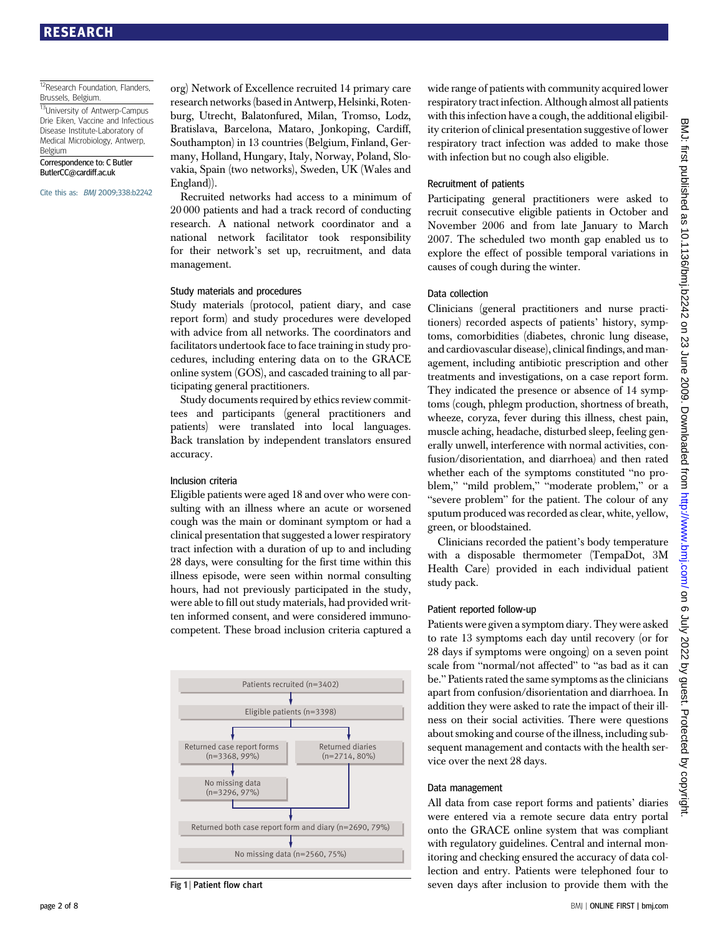#### 12Research Foundation, Flanders, Brussels, Belgium.

13University of Antwerp-Campus Drie Eiken, Vaccine and Infectious Disease Institute-Laboratory of Medical Microbiology, Antwerp, Belgium

Correspondence to: C Butler ButlerCC@cardiff.ac.uk

Cite this as: BMJ 2009;338:b2242

org) Network of Excellence recruited 14 primary care research networks (based in Antwerp, Helsinki, Rotenburg, Utrecht, Balatonfured, Milan, Tromso, Lodz, Bratislava, Barcelona, Mataro, Jonkoping, Cardiff, Southampton) in 13 countries (Belgium, Finland, Germany, Holland, Hungary, Italy, Norway, Poland, Slovakia, Spain (two networks), Sweden, UK (Wales and England)).

Recruited networks had access to a minimum of 20 000 patients and had a track record of conducting research. A national network coordinator and a national network facilitator took responsibility for their network's set up, recruitment, and data management.

#### Study materials and procedures

Study materials (protocol, patient diary, and case report form) and study procedures were developed with advice from all networks. The coordinators and facilitators undertook face to face training in study procedures, including entering data on to the GRACE online system (GOS), and cascaded training to all participating general practitioners.

Study documents required by ethics review committees and participants (general practitioners and patients) were translated into local languages. Back translation by independent translators ensured accuracy.

#### Inclusion criteria

Eligible patients were aged 18 and over who were consulting with an illness where an acute or worsened cough was the main or dominant symptom or had a clinical presentation that suggested a lower respiratory tract infection with a duration of up to and including 28 days, were consulting for the first time within this illness episode, were seen within normal consulting hours, had not previously participated in the study, were able to fill out study materials, had provided written informed consent, and were considered immunocompetent. These broad inclusion criteria captured a



Fig 1 | Patient flow chart

wide range of patients with community acquired lower respiratory tract infection. Although almost all patients with this infection have a cough, the additional eligibility criterion of clinical presentation suggestive of lower respiratory tract infection was added to make those with infection but no cough also eligible.

#### Recruitment of patients

Participating general practitioners were asked to recruit consecutive eligible patients in October and November 2006 and from late January to March 2007. The scheduled two month gap enabled us to explore the effect of possible temporal variations in causes of cough during the winter.

#### Data collection

Clinicians (general practitioners and nurse practitioners) recorded aspects of patients' history, symptoms, comorbidities (diabetes, chronic lung disease, and cardiovascular disease), clinical findings, and management, including antibiotic prescription and other treatments and investigations, on a case report form. They indicated the presence or absence of 14 symptoms (cough, phlegm production, shortness of breath, wheeze, coryza, fever during this illness, chest pain, muscle aching, headache, disturbed sleep, feeling generally unwell, interference with normal activities, confusion/disorientation, and diarrhoea) and then rated whether each of the symptoms constituted "no problem," "mild problem," "moderate problem," or a "severe problem" for the patient. The colour of any sputum produced was recorded as clear, white, yellow, green, or bloodstained.

Clinicians recorded the patient's body temperature with a disposable thermometer (TempaDot, 3M Health Care) provided in each individual patient study pack.

#### Patient reported follow-up

Patients were given a symptom diary. They were asked to rate 13 symptoms each day until recovery (or for 28 days if symptoms were ongoing) on a seven point scale from "normal/not affected" to "as bad as it can be." Patients rated the same symptoms as the clinicians apart from confusion/disorientation and diarrhoea. In addition they were asked to rate the impact of their illness on their social activities. There were questions about smoking and course of the illness, including subsequent management and contacts with the health service over the next 28 days.

#### Data management

All data from case report forms and patients' diaries were entered via a remote secure data entry portal onto the GRACE online system that was compliant with regulatory guidelines. Central and internal monitoring and checking ensured the accuracy of data collection and entry. Patients were telephoned four to seven days after inclusion to provide them with the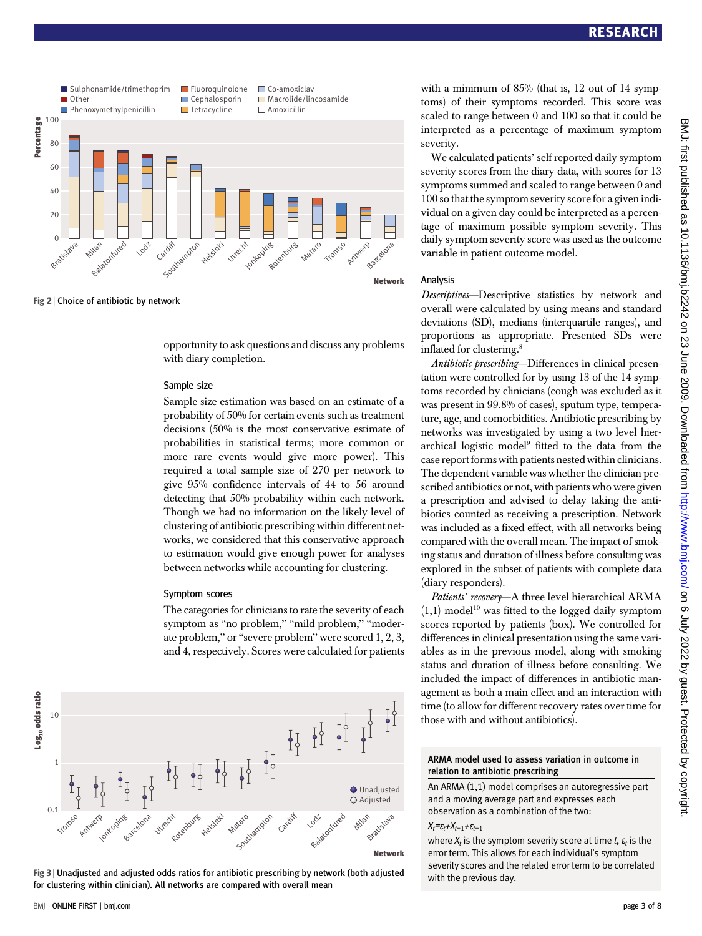

Fig 2 | Choice of antibiotic by network

opportunity to ask questions and discuss any problems with diary completion.

#### Sample size

Sample size estimation was based on an estimate of a probability of 50% for certain events such as treatment decisions (50% is the most conservative estimate of probabilities in statistical terms; more common or more rare events would give more power). This required a total sample size of 270 per network to give 95% confidence intervals of 44 to 56 around detecting that 50% probability within each network. Though we had no information on the likely level of clustering of antibiotic prescribing within different networks, we considered that this conservative approach to estimation would give enough power for analyses between networks while accounting for clustering.

#### Symptom scores

The categories for clinicians to rate the severity of each symptom as "no problem," "mild problem," "moderate problem," or "severe problem" were scored 1, 2, 3, and 4, respectively. Scores were calculated for patients



Fig 3 <sup>|</sup> Unadjusted and adjusted odds ratios for antibiotic prescribing by network (both adjusted for clustering within clinician). All networks are compared with overall mean

BMJ | ONLINE FIRST | bmj.com page 3 of 8

with a minimum of 85% (that is, 12 out of 14 symptoms) of their symptoms recorded. This score was scaled to range between 0 and 100 so that it could be interpreted as a percentage of maximum symptom severity.

We calculated patients' self reported daily symptom severity scores from the diary data, with scores for 13 symptoms summed and scaled to range between 0 and 100 so that the symptom severity score for a given individual on a given day could be interpreted as a percentage of maximum possible symptom severity. This daily symptom severity score was used as the outcome variable in patient outcome model.

#### Analysis

Descriptives—Descriptive statistics by network and overall were calculated by using means and standard deviations (SD), medians (interquartile ranges), and proportions as appropriate. Presented SDs were inflated for clustering.8

Antibiotic prescribing—Differences in clinical presentation were controlled for by using 13 of the 14 symptoms recorded by clinicians (cough was excluded as it was present in 99.8% of cases), sputum type, temperature, age, and comorbidities. Antibiotic prescribing by networks was investigated by using a two level hierarchical logistic model<sup>9</sup> fitted to the data from the case report forms with patients nested within clinicians. The dependent variable was whether the clinician prescribed antibiotics or not, with patients who were given a prescription and advised to delay taking the antibiotics counted as receiving a prescription. Network was included as a fixed effect, with all networks being compared with the overall mean. The impact of smoking status and duration of illness before consulting was explored in the subset of patients with complete data (diary responders).

Patients' recovery—A three level hierarchical ARMA  $(1,1)$  model<sup>10</sup> was fitted to the logged daily symptom scores reported by patients (box). We controlled for differences in clinical presentation using the same variables as in the previous model, along with smoking status and duration of illness before consulting. We included the impact of differences in antibiotic management as both a main effect and an interaction with time (to allow for different recovery rates over time for those with and without antibiotics).

#### ARMA model used to assess variation in outcome in relation to antibiotic prescribing

An ARMA (1,1) model comprises an autoregressive part and a moving average part and expresses each observation as a combination of the two:

#### $X_t = \varepsilon_t + X_{t-1} + \varepsilon_{t-1}$

where  $X_t$  is the symptom severity score at time t,  $\varepsilon_t$  is the error term. This allows for each individual's symptom severity scores and the related error term to be correlated with the previous day.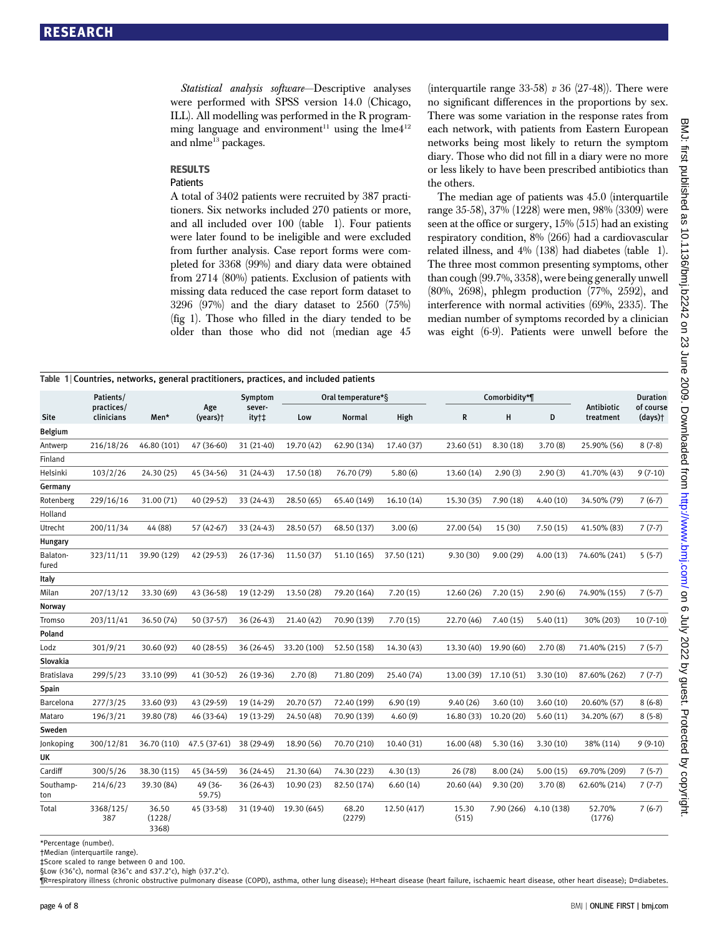Statistical analysis software—Descriptive analyses were performed with SPSS version 14.0 (Chicago, ILL). All modelling was performed in the R programming language and environment<sup>11</sup> using the  $\text{Im}e4^{12}$ and nlme<sup>13</sup> packages.

### **RESULTS**

## Patients

A total of 3402 patients were recruited by 387 practitioners. Six networks included 270 patients or more, and all included over 100 (table 1). Four patients were later found to be ineligible and were excluded from further analysis. Case report forms were completed for 3368 (99%) and diary data were obtained from 2714 (80%) patients. Exclusion of patients with missing data reduced the case report form dataset to 3296 (97%) and the diary dataset to 2560 (75%) (fig 1). Those who filled in the diary tended to be older than those who did not (median age 45

(interquartile range  $33-58$ ) v  $36$  (27-48)). There were no significant differences in the proportions by sex. There was some variation in the response rates from each network, with patients from Eastern European networks being most likely to return the symptom diary. Those who did not fill in a diary were no more or less likely to have been prescribed antibiotics than the others.

The median age of patients was 45.0 (interquartile range 35-58), 37% (1228) were men, 98% (3309) were seen at the office or surgery, 15% (515) had an existing respiratory condition, 8% (266) had a cardiovascular related illness, and 4% (138) had diabetes (table 1). The three most common presenting symptoms, other than cough (99.7%, 3358), were being generally unwell (80%, 2698), phlegm production (77%, 2592), and interference with normal activities (69%, 2335). The median number of symptoms recorded by a clinician was eight (6-9). Patients were unwell before the

| Table 1 Countries, networks, general practitioners, practices, and included patients |                                       |                          |                   |                            |                    |                 |             |                |                       |            |                  |                              |
|--------------------------------------------------------------------------------------|---------------------------------------|--------------------------|-------------------|----------------------------|--------------------|-----------------|-------------|----------------|-----------------------|------------|------------------|------------------------------|
| Site                                                                                 | Patients/<br>practices/<br>clinicians | Men*                     | Age<br>(years)+   | Symptom<br>sever-<br>ity†‡ | Oral temperature*§ |                 |             | Comorbidity*¶  |                       |            | Antibiotic       | <b>Duration</b><br>of course |
|                                                                                      |                                       |                          |                   |                            | Low                | <b>Normal</b>   | High        | R              | н                     | D          | treatment        | (days)                       |
| Belgium                                                                              |                                       |                          |                   |                            |                    |                 |             |                |                       |            |                  |                              |
| Antwerp                                                                              | 216/18/26                             | 46.80 (101)              | 47 (36-60)        | 31 (21-40)                 | 19.70 (42)         | 62.90 (134)     | 17.40 (37)  | 23.60 (51)     | 8.30(18)              | 3.70(8)    | 25.90% (56)      | $8(7-8)$                     |
| Finland                                                                              |                                       |                          |                   |                            |                    |                 |             |                |                       |            |                  |                              |
| Helsinki                                                                             | 103/2/26                              | 24.30 (25)               | 45 (34-56)        | 31 (24-43)                 | 17.50 (18)         | 76.70 (79)      | 5.80(6)     | 13.60 (14)     | 2.90(3)               | 2.90(3)    | 41.70% (43)      | $9(7-10)$                    |
| Germany                                                                              |                                       |                          |                   |                            |                    |                 |             |                |                       |            |                  |                              |
| Rotenberg                                                                            | 229/16/16                             | 31.00 (71)               | 40 (29-52)        | 33 (24-43)                 | 28.50(65)          | 65.40 (149)     | 16.10(14)   | 15.30 (35)     | 7.90(18)              | 4.40(10)   | 34.50% (79)      | $7(6-7)$                     |
| Holland                                                                              |                                       |                          |                   |                            |                    |                 |             |                |                       |            |                  |                              |
| Utrecht                                                                              | 200/11/34                             | 44 (88)                  | 57 (42-67)        | 33 (24-43)                 | 28.50 (57)         | 68.50 (137)     | 3.00(6)     | 27.00 (54)     | 15 (30)               | 7.50(15)   | 41.50% (83)      | $7(7-7)$                     |
| Hungary                                                                              |                                       |                          |                   |                            |                    |                 |             |                |                       |            |                  |                              |
| Balaton-<br>fured                                                                    | 323/11/11                             | 39.90 (129)              | 42 (29-53)        | 26 (17-36)                 | 11.50 (37)         | 51.10 (165)     | 37.50 (121) | 9.30(30)       | 9.00(29)              | 4.00(13)   | 74.60% (241)     | $5(5-7)$                     |
| Italy                                                                                |                                       |                          |                   |                            |                    |                 |             |                |                       |            |                  |                              |
| Milan                                                                                | 207/13/12                             | 33.30 (69)               | 43 (36-58)        | 19 (12-29)                 | 13.50 (28)         | 79.20 (164)     | 7.20(15)    | 12.60 (26)     | 7.20(15)              | 2.90(6)    | 74.90% (155)     | $7(5-7)$                     |
| Norway                                                                               |                                       |                          |                   |                            |                    |                 |             |                |                       |            |                  |                              |
| Tromso                                                                               | 203/11/41                             | 36.50 (74)               | 50 (37-57)        | 36 (26-43)                 | 21.40 (42)         | 70.90 (139)     | 7.70(15)    | 22.70 (46)     | 7.40(15)              | 5.40(11)   | 30% (203)        | $10(7-10)$                   |
| Poland                                                                               |                                       |                          |                   |                            |                    |                 |             |                |                       |            |                  |                              |
| Lodz                                                                                 | 301/9/21                              | 30.60 (92)               | 40 (28-55)        | 36 (26-45)                 | 33.20 (100)        | 52.50 (158)     | 14.30 (43)  | 13.30 (40)     | 19.90 (60)            | 2.70(8)    | 71.40% (215)     | $7(5-7)$                     |
| Slovakia                                                                             |                                       |                          |                   |                            |                    |                 |             |                |                       |            |                  |                              |
| <b>Bratislava</b>                                                                    | 299/5/23                              | 33.10 (99)               | 41 (30-52)        | 26 (19-36)                 | 2.70(8)            | 71.80 (209)     | 25.40 (74)  |                | 13.00 (39) 17.10 (51) | 3.30(10)   | 87.60% (262)     | $7(7-7)$                     |
| Spain                                                                                |                                       |                          |                   |                            |                    |                 |             |                |                       |            |                  |                              |
| Barcelona                                                                            | 277/3/25                              | 33.60 (93)               | 43 (29-59)        | 19 (14-29)                 | 20.70 (57)         | 72.40 (199)     | 6.90(19)    | 9.40(26)       | 3.60(10)              | 3.60(10)   | 20.60% (57)      | $8(6-8)$                     |
| Mataro                                                                               | 196/3/21                              | 39.80 (78)               | 46 (33-64)        | 19 (13-29)                 | 24.50 (48)         | 70.90 (139)     | 4.60(9)     | 16.80 (33)     | 10.20(20)             | 5.60(11)   | 34.20% (67)      | $8(5-8)$                     |
| Sweden                                                                               |                                       |                          |                   |                            |                    |                 |             |                |                       |            |                  |                              |
| Jonkoping                                                                            | 300/12/81                             | 36.70 (110)              | 47.5 (37-61)      | 38 (29-49)                 | 18.90 (56)         | 70.70 (210)     | 10.40 (31)  | 16.00 (48)     | 5.30(16)              | 3.30(10)   | 38% (114)        | $9(9-10)$                    |
| UK                                                                                   |                                       |                          |                   |                            |                    |                 |             |                |                       |            |                  |                              |
| Cardiff                                                                              | 300/5/26                              | 38.30 (115)              | 45 (34-59)        | 36 (24-45)                 | 21.30(64)          | 74.30 (223)     | 4.30(13)    | 26(78)         | 8.00(24)              | 5.00(15)   | 69.70% (209)     | $7(5-7)$                     |
| Southamp-<br>ton                                                                     | 214/6/23                              | 39.30 (84)               | 49 (36-<br>59.75) | 36 (26-43)                 | 10.90(23)          | 82.50 (174)     | 6.60(14)    | 20.60(44)      | 9.30(20)              | 3.70(8)    | 62.60% (214)     | $7(7-7)$                     |
| Total                                                                                | 3368/125/<br>387                      | 36.50<br>(1228/<br>3368) | 45 (33-58)        | 31 (19-40)                 | 19.30 (645)        | 68.20<br>(2279) | 12.50 (417) | 15.30<br>(515) | 7.90 (266)            | 4.10 (138) | 52.70%<br>(1776) | $7(6-7)$                     |

\*Percentage (number).

†Median (interquartile range).

‡Score scaled to range between 0 and 100.

§Low (<36°c), normal (≥36°c and ≤37.2°c), high (>37.2°c).

¶R=respiratory illness (chronic obstructive pulmonary disease (COPD), asthma, other lung disease); H=heart disease (heart failure, ischaemic heart disease, other heart disease); D=diabetes.

DN. This to 10 July 2022 by guest. Protected by Guest. Published as 10.126. Also published as 10.126/bmj.b242 on 23 June 2012 on 23 June 2002. Downloaded by Gebst. Protected by Guest. Protected by Guest. Protected by Guest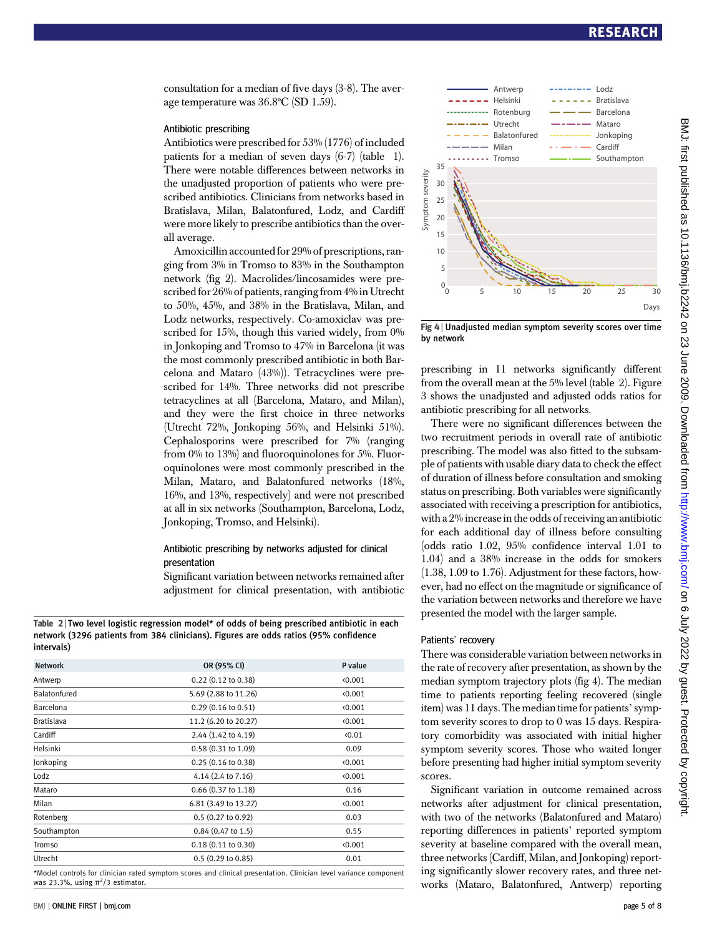consultation for a median of five days (3-8). The average temperature was 36.8ºC (SD 1.59).

#### Antibiotic prescribing

Antibiotics were prescribed for 53% (1776) of included patients for a median of seven days (6-7) (table 1). There were notable differences between networks in the unadjusted proportion of patients who were prescribed antibiotics. Clinicians from networks based in Bratislava, Milan, Balatonfured, Lodz, and Cardiff were more likely to prescribe antibiotics than the overall average.

Amoxicillin accounted for 29% of prescriptions, ranging from 3% in Tromso to 83% in the Southampton network (fig 2). Macrolides/lincosamides were prescribed for 26% of patients, ranging from 4% in Utrecht to 50%, 45%, and 38% in the Bratislava, Milan, and Lodz networks, respectively. Co-amoxiclav was prescribed for 15%, though this varied widely, from 0% in Jonkoping and Tromso to 47% in Barcelona (it was the most commonly prescribed antibiotic in both Barcelona and Mataro (43%)). Tetracyclines were prescribed for 14%. Three networks did not prescribe tetracyclines at all (Barcelona, Mataro, and Milan), and they were the first choice in three networks (Utrecht 72%, Jonkoping 56%, and Helsinki 51%). Cephalosporins were prescribed for 7% (ranging from 0% to 13%) and fluoroquinolones for 5%. Fluoroquinolones were most commonly prescribed in the Milan, Mataro, and Balatonfured networks (18%, 16%, and 13%, respectively) and were not prescribed at all in six networks (Southampton, Barcelona, Lodz, Jonkoping, Tromso, and Helsinki).

#### Antibiotic prescribing by networks adjusted for clinical presentation

Significant variation between networks remained after adjustment for clinical presentation, with antibiotic

Table 2 | Two level logistic regression model\* of odds of being prescribed antibiotic in each network (3296 patients from 384 clinicians). Figures are odds ratios (95% confidence intervals)

| <b>Network</b>   | OR (95% CI)                   | P value        |
|------------------|-------------------------------|----------------|
| Antwerp          | 0.22 (0.12 to 0.38)           | (0.001)        |
| Balatonfured     | 5.69 (2.88 to 11.26)          | (0.001)        |
| <b>Barcelona</b> | $0.29(0.16 \text{ to } 0.51)$ | (0.001)        |
| Bratislava       | 11.2 (6.20 to 20.27)          | (0.001)        |
| Cardiff          | 2.44 (1.42 to 4.19)           | $\langle 0.01$ |
| Helsinki         | $0.58(0.31 \text{ to } 1.09)$ | 0.09           |
| Jonkoping        | $0.25(0.16 \text{ to } 0.38)$ | (0.001)        |
| Lodz             | 4.14 (2.4 to 7.16)            | (0.001)        |
| Mataro           | 0.66 (0.37 to 1.18)           | 0.16           |
| Milan            | 6.81 (3.49 to 13.27)          | (0.001)        |
| Rotenberg        | 0.5(0.27 to 0.92)             | 0.03           |
| Southampton      | $0.84$ (0.47 to 1.5)          | 0.55           |
| Tromso           | $0.18(0.11 \text{ to } 0.30)$ | 0.001          |
| Utrecht          | 0.5(0.29 to 0.85)             | 0.01           |

\*Model controls for clinician rated symptom scores and clinical presentation. Clinician level variance component was 23.3%, using  $\pi^2/3$  estimator.



Fig 4 <sup>|</sup> Unadjusted median symptom severity scores over time by network

prescribing in 11 networks significantly different from the overall mean at the 5% level (table 2). Figure 3 shows the unadjusted and adjusted odds ratios for antibiotic prescribing for all networks.

There were no significant differences between the two recruitment periods in overall rate of antibiotic prescribing. The model was also fitted to the subsample of patients with usable diary data to check the effect of duration of illness before consultation and smoking status on prescribing. Both variables were significantly associated with receiving a prescription for antibiotics, with a 2% increase in the odds of receiving an antibiotic for each additional day of illness before consulting (odds ratio 1.02, 95% confidence interval 1.01 to 1.04) and a 38% increase in the odds for smokers (1.38, 1.09 to 1.76). Adjustment for these factors, however, had no effect on the magnitude or significance of the variation between networks and therefore we have presented the model with the larger sample.

#### Patients' recovery

There was considerable variation between networks in the rate of recovery after presentation, as shown by the median symptom trajectory plots (fig 4). The median time to patients reporting feeling recovered (single item) was 11 days. The median time for patients'symptom severity scores to drop to 0 was 15 days. Respiratory comorbidity was associated with initial higher symptom severity scores. Those who waited longer before presenting had higher initial symptom severity scores.

Significant variation in outcome remained across networks after adjustment for clinical presentation, with two of the networks (Balatonfured and Mataro) reporting differences in patients' reported symptom severity at baseline compared with the overall mean, three networks (Cardiff, Milan, and Jonkoping) reporting significantly slower recovery rates, and three networks (Mataro, Balatonfured, Antwerp) reporting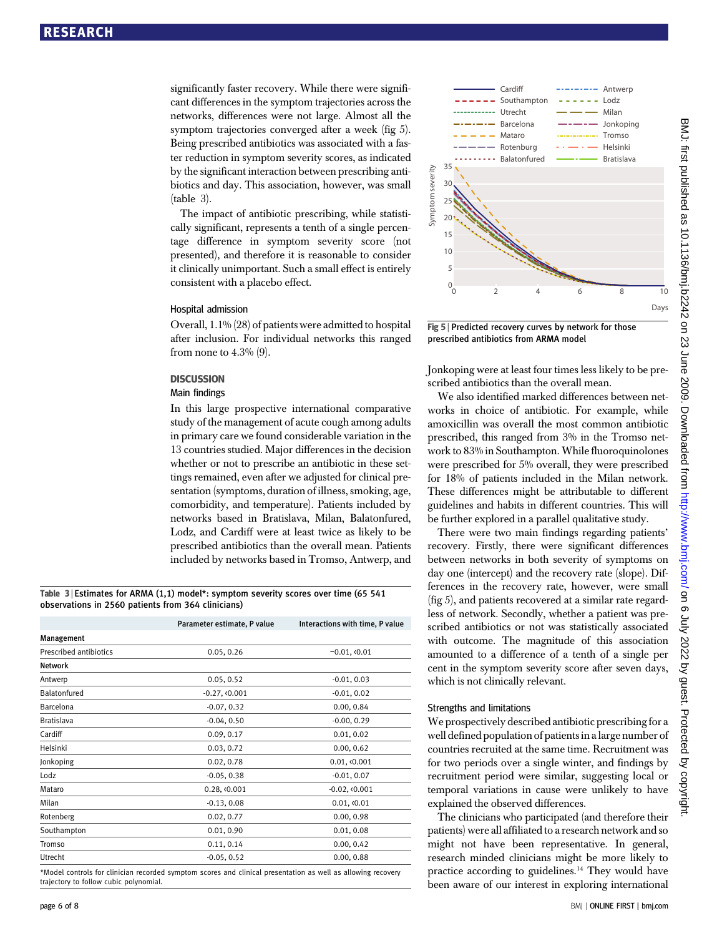significantly faster recovery. While there were significant differences in the symptom trajectories across the networks, differences were not large. Almost all the symptom trajectories converged after a week (fig 5). Being prescribed antibiotics was associated with a faster reduction in symptom severity scores, as indicated by the significant interaction between prescribing antibiotics and day. This association, however, was small (table 3).

The impact of antibiotic prescribing, while statistically significant, represents a tenth of a single percentage difference in symptom severity score (not presented), and therefore it is reasonable to consider it clinically unimportant. Such a small effect is entirely consistent with a placebo effect.

#### Hospital admission

Overall, 1.1% (28) of patients were admitted to hospital after inclusion. For individual networks this ranged from none to 4.3% (9).

#### **DISCUSSION**

## **DISCUSSION**

In this large prospective international comparative study of the management of acute cough among adults in primary care we found considerable variation in the 13 countries studied. Major differences in the decision whether or not to prescribe an antibiotic in these settings remained, even after we adjusted for clinical presentation (symptoms, duration of illness, smoking, age, comorbidity, and temperature). Patients included by networks based in Bratislava, Milan, Balatonfured, Lodz, and Cardiff were at least twice as likely to be prescribed antibiotics than the overall mean. Patients included by networks based in Tromso, Antwerp, and

Table 3 | Estimates for ARMA (1,1) model\*: symptom severity scores over time (65 541 observations in 2560 patients from 364 clinicians)

|                        | Parameter estimate, P value | Interactions with time, P value |
|------------------------|-----------------------------|---------------------------------|
| Management             |                             |                                 |
| Prescribed antibiotics | 0.05, 0.26                  | $-0.01, 0.01$                   |
| Network                |                             |                                 |
| Antwerp                | 0.05, 0.52                  | $-0.01, 0.03$                   |
| Balatonfured           | $-0.27, 0.001$              | $-0.01, 0.02$                   |
| Barcelona              | $-0.07, 0.32$               | 0.00, 0.84                      |
| <b>Bratislava</b>      | $-0.04, 0.50$               | $-0.00, 0.29$                   |
| Cardiff                | 0.09, 0.17                  | 0.01, 0.02                      |
| Helsinki               | 0.03, 0.72                  | 0.00, 0.62                      |
| Jonkoping              | 0.02, 0.78                  | 0.01, 0.001                     |
| Lodz                   | $-0.05, 0.38$               | $-0.01, 0.07$                   |
| Mataro                 | 0.28, <0.001                | $-0.02, 0.001$                  |
| Milan                  | $-0.13, 0.08$               | 0.01, 0.01                      |
| Rotenberg              | 0.02, 0.77                  | 0.00, 0.98                      |
| Southampton            | 0.01, 0.90                  | 0.01, 0.08                      |
| Tromso                 | 0.11, 0.14                  | 0.00, 0.42                      |
| Utrecht                | $-0.05, 0.52$               | 0.00, 0.88                      |
|                        |                             |                                 |

\*Model controls for clinician recorded symptom scores and clinical presentation as well as allowing recovery trajectory to follow cubic polynomial.



Fig 5 <sup>|</sup> Predicted recovery curves by network for those prescribed antibiotics from ARMA model

Jonkoping were at least four times less likely to be prescribed antibiotics than the overall mean.

We also identified marked differences between networks in choice of antibiotic. For example, while amoxicillin was overall the most common antibiotic prescribed, this ranged from 3% in the Tromso network to 83% in Southampton. While fluoroquinolones were prescribed for 5% overall, they were prescribed for 18% of patients included in the Milan network. These differences might be attributable to different guidelines and habits in different countries. This will be further explored in a parallel qualitative study.

There were two main findings regarding patients' recovery. Firstly, there were significant differences between networks in both severity of symptoms on day one (intercept) and the recovery rate (slope). Differences in the recovery rate, however, were small (fig 5), and patients recovered at a similar rate regardless of network. Secondly, whether a patient was prescribed antibiotics or not was statistically associated with outcome. The magnitude of this association amounted to a difference of a tenth of a single per cent in the symptom severity score after seven days, which is not clinically relevant.

#### Strengths and limitations

We prospectively described antibiotic prescribing for a well defined population of patients in a large number of countries recruited at the same time. Recruitment was for two periods over a single winter, and findings by recruitment period were similar, suggesting local or temporal variations in cause were unlikely to have explained the observed differences.

The clinicians who participated (and therefore their patients) were all affiliated to a research network and so might not have been representative. In general, research minded clinicians might be more likely to practice according to guidelines.<sup>14</sup> They would have been aware of our interest in exploring international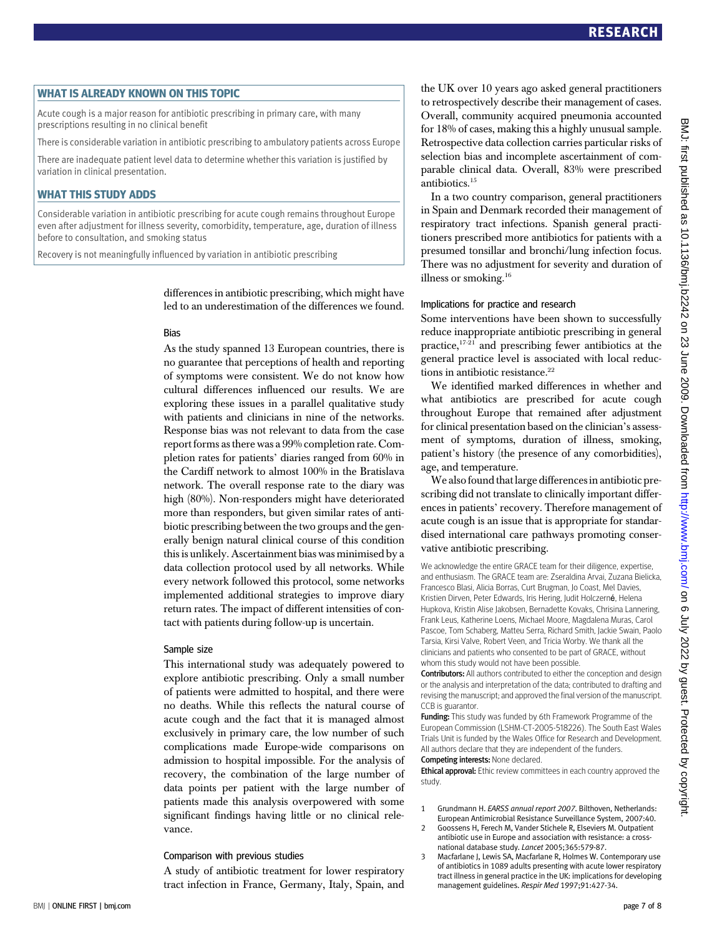—<br>Acute cough is a major reason for antibiotic prescribing in primary care, with many prescriptions resulting in no clinical benefit

There is considerable variation in antibiotic prescribing to ambulatory patients across Europe

There are inadequate patient level data to determine whether this variation is justified by variation in clinical presentation.

WHAT THIS STUDY ADDS Considerable variation in antibiotic prescribing for acute cough remains throughout Europe even after adjustment for illness severity, comorbidity, temperature, age, duration of illness before to consultation, and smoking status

Recovery is not meaningfully influenced by variation in antibiotic prescribing

differences in antibiotic prescribing, which might have led to an underestimation of the differences we found.

#### Bias

As the study spanned 13 European countries, there is no guarantee that perceptions of health and reporting of symptoms were consistent. We do not know how cultural differences influenced our results. We are exploring these issues in a parallel qualitative study with patients and clinicians in nine of the networks. Response bias was not relevant to data from the case report forms as there was a 99% completion rate. Completion rates for patients' diaries ranged from 60% in the Cardiff network to almost 100% in the Bratislava network. The overall response rate to the diary was high (80%). Non-responders might have deteriorated more than responders, but given similar rates of antibiotic prescribing between the two groups and the generally benign natural clinical course of this condition this is unlikely. Ascertainment bias was minimised by a data collection protocol used by all networks. While every network followed this protocol, some networks implemented additional strategies to improve diary return rates. The impact of different intensities of contact with patients during follow-up is uncertain.

#### Sample size

This international study was adequately powered to explore antibiotic prescribing. Only a small number of patients were admitted to hospital, and there were no deaths. While this reflects the natural course of acute cough and the fact that it is managed almost exclusively in primary care, the low number of such complications made Europe-wide comparisons on admission to hospital impossible. For the analysis of recovery, the combination of the large number of data points per patient with the large number of patients made this analysis overpowered with some significant findings having little or no clinical relevance.

#### Comparison with previous studies

A study of antibiotic treatment for lower respiratory tract infection in France, Germany, Italy, Spain, and the UK over 10 years ago asked general practitioners to retrospectively describe their management of cases. Overall, community acquired pneumonia accounted for 18% of cases, making this a highly unusual sample. Retrospective data collection carries particular risks of selection bias and incomplete ascertainment of comparable clinical data. Overall, 83% were prescribed antibiotics.15

In a two country comparison, general practitioners in Spain and Denmark recorded their management of respiratory tract infections. Spanish general practitioners prescribed more antibiotics for patients with a presumed tonsillar and bronchi/lung infection focus. There was no adjustment for severity and duration of illness or smoking.<sup>16</sup>

#### Implications for practice and research

Some interventions have been shown to successfully reduce inappropriate antibiotic prescribing in general practice,17-21 and prescribing fewer antibiotics at the general practice level is associated with local reductions in antibiotic resistance. $22$ 

We identified marked differences in whether and what antibiotics are prescribed for acute cough throughout Europe that remained after adjustment for clinical presentation based on the clinician's assessment of symptoms, duration of illness, smoking, patient's history (the presence of any comorbidities), age, and temperature.

We also found that large differences in antibiotic prescribing did not translate to clinically important differences in patients' recovery. Therefore management of acute cough is an issue that is appropriate for standardised international care pathways promoting conservative antibiotic prescribing.

We acknowledge the entire GRACE team for their diligence, expertise, and enthusiasm. The GRACE team are: Zseraldina Arvai, Zuzana Bielicka, Francesco Blasi, Alicia Borras, Curt Brugman, Jo Coast, Mel Davies, Kristien Dirven, Peter Edwards, Iris Hering, Judit Holczerné, Helena Hupkova, Kristin Alise Jakobsen, Bernadette Kovaks, Chrisina Lannering, Frank Leus, Katherine Loens, Michael Moore, Magdalena Muras, Carol Pascoe, Tom Schaberg, Matteu Serra, Richard Smith, Jackie Swain, Paolo Tarsia, Kirsi Valve, Robert Veen, and Tricia Worby. We thank all the clinicians and patients who consented to be part of GRACE, without whom this study would not have been possible.

**Contributors:** All authors contributed to either the conception and design or the analysis and interpretation of the data; contributed to drafting and revising the manuscript; and approved the final version of the manuscript. CCB is guarantor.

Funding: This study was funded by 6th Framework Programme of the European Commission (LSHM-CT-2005-518226). The South East Wales Trials Unit is funded by the Wales Office for Research and Development. All authors declare that they are independent of the funders. Competing interests: None declared.

Ethical approval: Ethic review committees in each country approved the study

- 1 Grundmann H. EARSS annual report 2007. Bilthoven, Netherlands: European Antimicrobial Resistance Surveillance System, 2007:40.
- 2 Goossens H, Ferech M, Vander Stichele R, Elseviers M. Outpatient antibiotic use in Europe and association with resistance: a cross-
- national database study. Lancet 2005;365:579-87. 3 Macfarlane J, Lewis SA, Macfarlane R, Holmes W. Contemporary use of antibiotics in 1089 adults presenting with acute lower respiratory tract illness in general practice in the UK: implications for developing management guidelines. Respir Med 1997;91:427-34.